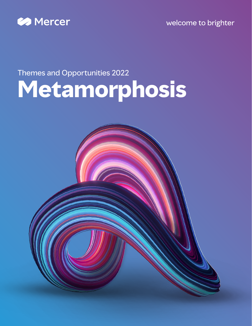

welcome to brighter

## Themes and Opportunities 2022 **Metamorphosis**

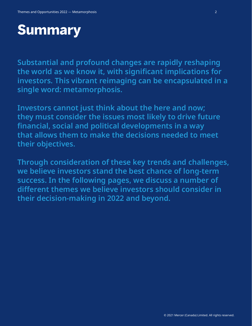### **Summary**

**Substantial and profound changes are rapidly reshaping the world as we know it, with significant implications for investors. This vibrant reimaging can be encapsulated in a single word: metamorphosis.**

**Investors cannot just think about the here and now; they must consider the issues most likely to drive future financial, social and political developments in a way that allows them to make the decisions needed to meet their objectives.**

**Through consideration of these key trends and challenges, we believe investors stand the best chance of long-term success. In the following pages, we discuss a number of different themes we believe investors should consider in their decision-making in 2022 and beyond.**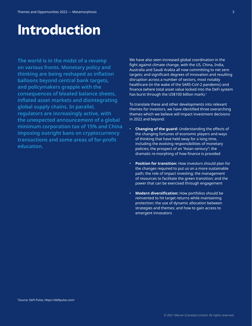### **Introduction**

**The world is in the midst of a revamp on various fronts. Monetary policy and thinking are being reshaped as inflation balloons beyond central bank targets, and policymakers grapple with the consequences of bloated balance sheets, inflated asset markets and disintegrating global supply chains. In parallel, regulators are increasingly active, with the unexpected announcement of a global minimum corporation tax of 15% and China imposing outright bans on cryptocurrency transactions and some areas of for-profit education.**

We have also seen increased global coordination in the fight against climate change, with the US, China, India, Australia and Saudi Arabia all now committing to net zero targets; and significant degrees of innovation and resulting disruption across a number of sectors, most notably healthcare (in the wake of the SARS-CoV-2 pandemic) and finance (where total asset value locked into the DeFi system has burst through the US\$100 billion mark).<sup>1</sup>

To translate these and other developments into relevant themes for investors, we have identified three overarching themes which we believe will impact investment decisions in 2022 and beyond:

- **Changing of the guard:** Understanding the effects of the changing fortunes of economic players and ways of thinking that have held sway for a long time, including the evolving responsibilities of monetary policies; the prospect of an "Asian century"; the dramatic re-morphing of how finance is provided
- **Position for transition:** How investors should plan for the changes required to put us on a more sustainable path; the role of impact investing; the management of resources to facilitate the green transition; and the power that can be exercised through engagement
- **Modern diversification:** How portfolios should be reinvented to hit target returns while maintaining protection; the use of dynamic allocation between strategies and themes; and how to gain access to emergent innovators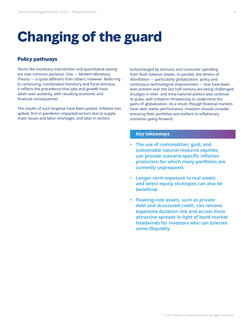### **Changing of the guard**

#### **Policy pathways**

Terms like monetary intervention and quantitative easing are now common parlance. One — Modern Monetary Theory — is quite different from others, however. Referring to continuing, coordinated monetary and fiscal stimulus, it reflects the precedence that jobs and growth have taken over austerity, with resulting economic and financial consequences.

The results of such largesse have been potent: Inflation has spiked, first in pandemic-impacted sectors due to supply chain issues and labor shortages, and later in sectors

turbocharged by stimulus and consumer spending from flush balance sheets. In parallel, the drivers of disinflation — particularly globalization, policy and continuous technological improvement — that have been ever present over the last half century are being challenged. Grudges in inter- and intra-national politics also continue to grate, with tribalism threatening to undermine the gains of globalization. As a result, though financial markets have seen stellar performance, investors should consider ensuring their portfolios are resilient to inflationary scenarios going forward.

- **• The use of commodities, gold, and sustainable natural resource equities can provide scenario-specific inflation protection for which many portfolios are currently unprepared.**
- **• Longer-term exposure to real assets and select equity strategies can also be beneficial.**
- **• Floating-rate assets, such as private debt and structured credit, can remove expensive duration risk and access more attractive spreads in light of bond market headwinds for investors who can tolerate some illiquidity.**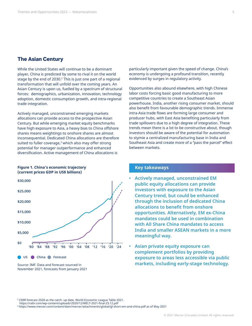#### **The Asian Century**

While the United States will continue to be a dominant player, China is predicted by some to rival it on the world stage by the end of 2030.<sup>2</sup> This is just one part of a regional transformation that will unfold over the coming years. An Asian Century is upon us, fuelled by a spectrum of structural forces: demographics, urbanization, innovation, technology adoption, domestic consumption growth, and intra-regional trade integration.

Actively managed, unconstrained emerging markets allocations can provide access to the prospective Asian Century. But while emerging market equity benchmarks have high exposure to Asia, a heavy bias to China offshore shares means weightings to onshore shares are almost inconsequential. Dedicated China allocations are therefore suited to fuller coverage, $3$  which also may offer strong potential for manager outperformance and enhanced diversification. Active management of China allocations is

### **(current prices GDP in US\$ billions)** \$10,000 \$15,000 \$20,000 \$25,000 \$30,000

**Figure 1. China's economic trajectory** 

US China Forecast \$0 '80 '84 '88 '92 '96 '00 '04 '08 '12 '16 '20 '24 Source: IMF. Data and forecast sourced in November 2021, forecasts from January 2021

\$5,000

particularly important given the speed of change. China's economy is undergoing a profound transition, recently evidenced by surges in regulatory activity.

Opportunities also abound elsewhere, with high Chinese labor costs forcing basic good manufacturing to more competitive countries to create a Southeast Asian powerhouse. India, another rising consumer market, should also benefit from favourable demographic trends. Immense intra-Asia trade flows are forming large consumer and producer hubs, with East Asia benefiting particularly from trade spillovers due to a high degree of integration. These trends mean there is a lot to be constructive about, though investors should be aware of the potential for automation to stymie a centralized manufacturing base in India and Southeast Asia and create more of a "pass the parcel" effect between markets.

- **• Actively managed, unconstrained EM public equity allocations can provide investors with exposure to the Asian Century trend, but could be enhanced through the inclusion of dedicated China allocations to benefit from onshore opportunities. Alternatively, EM ex-China mandates could be used in combination with All Share China mandates to access India and smaller ASEAN markets in a more meaningful way.**
- **• Asian private equity exposure can complement portfolios by providing exposure to areas less accessible via public markets, including early-stage technology.**

<sup>2</sup> CEBR forecast 2028 as the catch- up date. World Economic League Table 2021. [https://cebr.com/wp-content/uploads/2020/12/WELT-2021-final-23.12.pdf](https://cebr.com/wp-content/uploads/2020/12/WELT-2021-final-23.12.pdf )

<sup>3</sup> https://www.mercer.com/content/dam/mercer/attachments/global/gl-short-em-and-china.pdf as of May 2021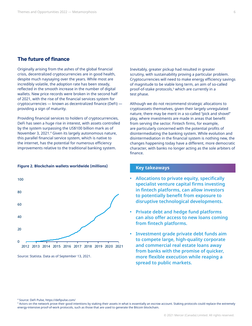#### **The future of finance**

Originally arising from the ashes of the global financial crisis, decentralized cryptocurrencies are in good health, despite much naysaying over the years. While most are incredibly volatile, the adoption rate has been steady, reflected in the smooth increase in the number of digital wallets. New price records were broken in the second half of 2021, with the rise of the financial services system for cryptocurrencies — known as decentralized finance (DeFi) providing a sign of maturity.

Providing financial services to holders of cryptocurrencies, DeFi has seen a huge rise in interest, with assets controlled by the system surpassing the US\$100 billion mark as of November 3, 2021.<sup>4</sup> Given its largely autonomous nature, this parallel financial service system, which is native to the internet, has the potential for numerous efficiency improvements relative to the traditional banking system.

#### **Figure 2. Blockchain wallets worldwide (millions)**



Source: Statista. Data as of September 13, 2021.

Inevitably, greater pickup had resulted in greater scrutiny, with sustainability proving a particular problem. Cryptocurrencies will need to make energy efficiency savings of magnitude to be viable long term, an aim of so-called proof-of-stake protocols,<sup>5</sup> which are currently in a test phase.

Although we do not recommend strategic allocations to cryptoassets themselves, given their largely unregulated nature, there may be merit in a so-called "pick and shovel" play, where investments are made in areas that benefit from serving the sector. Fintech firms, for example, are particularly concerned with the potential profits of disintermediating the banking system. While evolution and disintermediation in the financial system is nothing new, the changes happening today have a different, more democratic character, with banks no longer acting as the sole arbiters of finance.

#### **Key takeaways**

- **• Allocations to private equity, specifically specialist venture capital firms investing in fintech platforms, can allow investors to potentially benefit from exposure to disruptive technological developments.**
- **• Private debt and hedge fund platforms can also offer access to new loans coming from fintech platforms.**
- **• Investment grade private debt funds aim to compete large, high-quality corporate and commercial real estate loans away from banks with the promise of quicker, more flexible execution while reaping a spread to public markets.**

<sup>4</sup> Source: DeFi Pulse, https://defipulse.com/

<sup>5</sup> Actors on the network prove their good intentions by staking their assets in what is essentially an escrow account. Staking protocols could replace the extremely energy-intensive proof-of-work protocols, such as those that are used to generate the Bitcoin blockchain.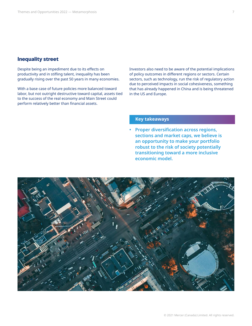### **Inequality street**

Despite being an impediment due to its effects on productivity and in stifling talent, inequality has been gradually rising over the past 50 years in many economies.

With a base case of future policies more balanced toward labor, but not outright destructive toward capital, assets tied to the success of the real economy and Main Street could perform relatively better than financial assets.

Investors also need to be aware of the potential implications of policy outcomes in different regions or sectors. Certain sectors, such as technology, run the risk of regulatory action due to perceived impacts in social cohesiveness, something that has already happened in China and is being threatened in the US and Europe.

#### **Key takeaways**

**• Proper diversification across regions, sections and market caps, we believe is an opportunity to make your portfolio robust to the risk of society potentially transitioning toward a more inclusive economic model.**

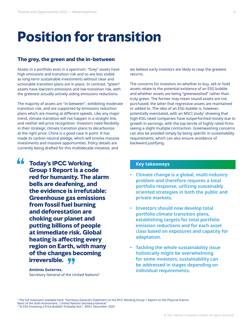### **Position for transition**

#### **The grey, the green and the in-between**

Assets in a portfolio exist in a spectrum. "Grey" assets have high emissions and transition risk and so are less visible as long-term sustainable investments without clear and actionable transition plans are in place. In contrast, "green" assets have low/zero emissions and low transition risk, with the greenest actually actively aiding emissions reductions.

The majority of assets are "in-between", exhibiting moderate transition risk, and are supported by emissions reduction plans which are moving at different speeds. Like any major trend, climate transition will not happen in a straight line, and neither will price recognition. Investors need flexibility in their strategic climate transition plans to decarbonize at the right price. China is a good case in point: It has made its carbon-neutral pledge, which will involve massive investments and massive opportunities. Policy details are currently being drafted for this multidecade initiative, and

**"**

**Today's IPCC Working <b>EXEC WORKING Group 1 Report is a code red for humanity. The alarm bells are deafening, and the evidence is irrefutable: Greenhouse gas emissions from fossil fuel burning and deforestation are choking our planet and putting billions of people at immediate risk. Global heating is affecting every region on Earth, with many of the changes becoming** 

**irreversible.**<br>António Guterres,<br>Secretary General of the UI **António Guterres,** Secretary General of the United Nations<sup>6</sup> we believe early investors are likely to reap the greatest returns.

The concerns for investors on whether to buy, sell or hold assets relate to the potential existence of an ESG bubble and whether assets are being "greenwashed" rather than truly green. The former may mean sound assets are not purchased; the latter that regressive assets are maintained or added to. The idea of an ESG bubble is, however, potentially overstated, with an MSCI study<sup>7</sup> showing that high-ESG rated companies have outperformed mostly due to growth in earnings, with the top tercile of highly rated firms seeing a slight multiple contraction. Greenwashing concerns can also be avoided simply by being specific in sustainability requirements, which can also ensure avoidance of backward justifying.

- **• Climate change is a global, multi-industry problem and therefore requires a total portfolio response, utilizing sustainably oriented strategies in both the public and private markets.**
- **• Investors should now develop total portfolio climate transition plans, establishing targets for total portfolio emission reductions and for each asset class based on exposures and capacity for adaptation.**
- **• Tackling the whole sustainability issue holistically might be overwhelming for some investors; sustainability can be addressed in stages depending on individual requirements.**

<sup>6</sup> [The full statement available here: "Secretary-General's Statement on the IPCC Working Group 1 Report on the Physical Science](https://www.un.org/press/en/2021/sgsm20847.doc.htm)  [Basis of the Sixth Assessment | United Nations Secretary-General."](https://www.un.org/press/en/2021/sgsm20847.doc.htm) <sup>7</sup>"Is ESG Investing a Price Bubble? Probably Not.", MSCI. December 2020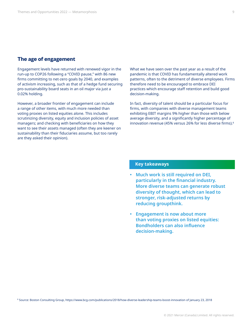#### **The age of engagement**

Engagement levels have returned with renewed vigor in the run-up to COP26 following a "COVID pause," with 86 new firms committing to net-zero goals by 2040, and examples of activism increasing, such as that of a hedge fund securing pro-sustainability board seats in an oil major via just a 0.02% holding.

However, a broader frontier of engagement can include a range of other items, with much more needed than voting proxies on listed equities alone. This includes scrutinizing diversity, equity and inclusion policies of asset managers; and checking with beneficiaries on how they want to see their assets managed (often they are keener on sustainability than their fiduciaries assume, but too rarely are they asked their opinion).

What we have seen over the past year as a result of the pandemic is that COVID has fundamentally altered work patterns, often to the detriment of diverse employees. Firms therefore need to be encouraged to embrace DEI practices which encourage staff retention and build good decision-making.

In fact, diversity of talent should be a particular focus for firms, with companies with diverse management teams exhibiting EBIT margins 9% higher than those with below average diversity, and a significantly higher percentage of innovation revenue (45% versus 26% for less diverse firms).<sup>8</sup>

- **• Much work is still required on DEI, particularly in the financial industry. More diverse teams can generate robust diversity of thought, which can lead to stronger, risk-adjusted returns by reducing groupthink.**
- **• Engagement is now about more than voting proxies on listed equities: Bondholders can also influence decision-making.**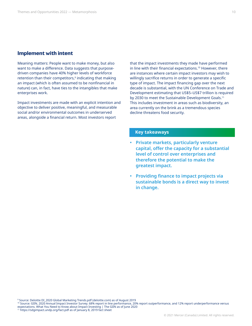#### **Implement with intent**

Meaning matters: People want to make money, but also want to make a difference. Data suggests that purposedriven companies have 40% higher levels of workforce retention than their competitors, $9$  indicating that making an impact (which is often assumed to be nonfinancial in nature) can, in fact, have ties to the intangibles that make enterprises work.

Impact investments are made with an explicit intention and objective to deliver positive, meaningful, and measurable social and/or environmental outcomes in underserved areas, alongside a financial return. Most investors report

that the impact investments they made have performed in line with their financial expectations.<sup>10</sup> However, there are instances where certain impact investors may wish to willingly sacrifice returns in order to generate a specific type of impact. The impact financing gap over the next decade is substantial, with the UN Conference on Trade and Development estimating that US\$5–US\$7 trillion is required by 2030 to meet the Sustainable Development Goals.<sup>11</sup> This includes investment in areas such as biodiversity, an area currently on the brink as a tremendous species decline threatens food security.

- **• Private markets, particularly venture capital, offer the capacity for a substantial level of control over enterprises and therefore the potential to make the greatest impact.**
- **• Providing finance to impact projects via sustainable bonds is a direct way to invest in change.**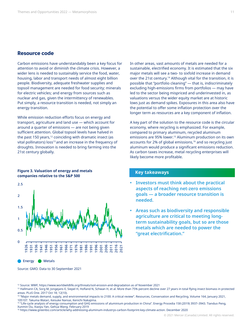#### **Resource code**

Carbon emissions have understandably been a key focus for attention to avoid or diminish the climate crisis. However, a wider lens is needed to sustainably service the food, water, housing, labor and transport needs of almost eight billion people. Biodiversity, adequate freshwater supplies and topsoil management are needed for food security; minerals for electric vehicles; and energy from sources such as nuclear and gas, given the intermittency of renewables. Put simply, a resource transition is needed, not simply an energy transition.

While emission reduction efforts focus on energy and transport, agriculture and land use — which account for around a quarter of emissions — are not being given sufficient attention. Global topsoil levels have halved in the past 150 years, $12$  coinciding with dramatic insect (as vital pollinators) loss<sup>13</sup> and an increase in the frequency of droughts. Innovation is needed to bring farming into the 21st century globally.

#### **Figure 3. Valuation of energy and metals companies relative to the S&P 500**



**Energy Metals** 

Source: GMO. Data to 30 September 2021

In other areas, vast amounts of metals are needed for a sustainable, electrified economy. It is estimated that the six major metals will see a two- to sixfold increase in demand over the 21st century.<sup>14</sup> Although vital for the transition, it is possible that "portfolio cleaning" — that is, indiscriminately excluding high-emissions firms from portfolios — may have led to the sector being mispriced and underinvested in, as valuations versus the wider equity market are at historic lows just as demand spikes. Exposures in this area also have the potential to offer some inflation protection over the longer term as resources are a key component of inflation.

A key part of the solution to the resource code is the circular economy, where recycling is emphasized. For example, compared to primary aluminum, recycled aluminum emissions are 95% lower.<sup>15</sup> Aluminum production on its own accounts for 2% of global emissions,<sup>16</sup> and so recycling just aluminum would produce a significant emissions reduction. As carbon taxes increase, metal recycling enterprises will likely become more profitable.

- **• Investors must think about the practical aspects of reaching net-zero emissions goals — a broader resource transition is needed.**
- **• Areas such as biodiversity and responsible agriculture are critical to meeting longterm sustainability goals, but so are those metals which are needed to power the "great electrification."**

<sup>12</sup> Source: WWF, https://www.worldwildlife.org/threats/soil-erosion-and-degradation as of November 2021

<sup>&</sup>lt;sup>13</sup> Hallmann CA, Sorg M, Jongejans E, Siepel H, Hofland N, Schwan H, et al. More than 75% percent decline over 27 years in total flying insect biomass in protected areas. PLoS One. 2017 Oct 18; 12(10).

<sup>&</sup>lt;sup>14</sup> "Major metals demand, supply, and environmental impacts to 2100: A critical review". Resources, Conservation and Recycling. Volume 164, January 2021, 105107. Takuma Watari, Keisuke Nansai, Kenichi Nakajima.

<sup>15 &</sup>quot;Life-cycle analysis of energy consumption and GHG emissions of aluminium production in China". Energy Procedia 158 (2019) 3937–3943. Tianduo Peng, Xunmin Ou, Xiaoyu Yan, Gehua Wang. February 2019

<sup>16</sup> https://www.greenbiz.com/article/why-addressing-aluminum-industrys-carbon-footprint-key-climate-action. December 2020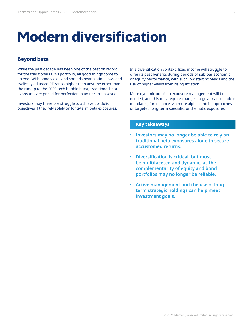### **Modern diversification**

#### **Beyond beta**

While the past decade has been one of the best on record for the traditional 60/40 portfolio, all good things come to an end. With bond yields and spreads near all-time lows and cyclically adjusted PE ratios higher than anytime other than the run-up to the 2000 tech bubble burst, traditional beta exposures are priced for perfection in an uncertain world.

Investors may therefore struggle to achieve portfolio objectives if they rely solely on long-term beta exposures. In a diversification context, fixed income will struggle to offer its past benefits during periods of sub-par economic or equity performance, with such low starting yields and the risk of higher yields from rising inflation.

More dynamic portfolio exposure management will be needed, and this may require changes to governance and/or mandates; for instance, via more alpha-centric approaches, or targeted long-term specialist or thematic exposures.

- **• Investors may no longer be able to rely on traditional beta exposures alone to secure accustomed returns.**
- **• Diversification is critical, but must be multifaceted and dynamic, as the complementarity of equity and bond portfolios may no longer be reliable.**
- **• Active management and the use of longterm strategic holdings can help meet investment goals.**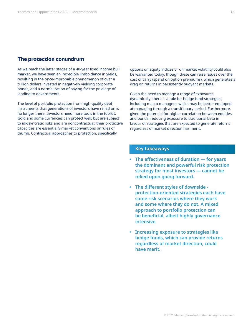#### **The protection conundrum**

As we reach the latter stages of a 40-year fixed income bull market, we have seen an incredible limbo dance in yields, resulting in the once-improbable phenomenon of over a trillion dollars invested in negatively yielding corporate bonds, and a normalization of paying for the privilege of lending to governments.

The level of portfolio protection from high-quality debt instruments that generations of investors have relied on is no longer there. Investors need more tools in the toolkit. Gold and some currencies can protect well, but are subject to idiosyncratic risks and are noncontractual; their protective capacities are essentially market conventions or rules of thumb. Contractual approaches to protection, specifically

options on equity indices or on market volatility could also be warranted today, though these can raise issues over the cost of carry (spend on option premiums), which generates a drag on returns in persistently buoyant markets.

Given the need to manage a range of exposures dynamically, there is a role for hedge fund strategies, including macro managers, which may be better equipped at managing through a transitionary period. Furthermore, given the potential for higher correlation between equities and bonds, reducing exposure to traditional beta in favour of strategies that are expected to generate returns regardless of market direction has merit.

- **• The effectiveness of duration for years the dominant and powerful risk protection strategy for most investors — cannot be relied upon going forward.**
- **• The different styles of downside protection-oriented strategies each have some risk scenarios where they work and some where they do not. A mixed approach to portfolio protection can be beneficial, albeit highly governance intensive.**
- **• Increasing exposure to strategies like hedge funds, which can provide returns regardless of market direction, could have merit.**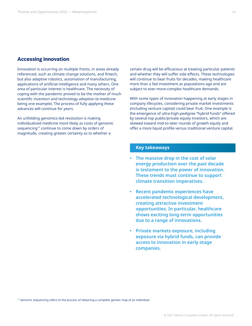#### **Accessing innovation**

Innovation is occurring on multiple fronts, in areas already referenced, such as climate change solutions, and fintech, but also adaptive robotics, automation of manufacturing, applications of artificial intelligence and many others. One area of particular interest is healthcare. The necessity of coping with the pandemic proved to be the mother of much scientific invention and technology adoption (e-medicine being one example). The process of fully applying these advances will continue for years.

An unfolding genomics-led revolution is making individualized medicine more likely as costs of genomic sequencing<sup>17</sup> continue to come down by orders of magnitude, creating greater certainty as to whether a

certain drug will be efficacious at treating particular patients and whether they will suffer side effects. These technologies will continue to bear fruits for decades, making healthcare more than a fad investment as populations age and are subject to ever-more-complex healthcare demands.

With some types of innovation happening at early stages in company lifecycles, considering private market investments (including venture capital) could bear fruit. One example is the emergence of ultra-high-pedigree "hybrid funds" offered by several top public/private equity investors, which are skewed toward mid-to-later rounds of growth equity and offer a more liquid profile versus traditional venture capital.

#### **Key takeaways**

- **• The massive drop in the cost of solar energy production over the past decade is testament to the power of innovation. These trends must continue to support climate transition imperatives.**
- **• Recent pandemic experiences have accelerated technological development, creating attractive investment opportunities. In particular, healthcare shows exciting long-term opportunities due to a range of innovations.**
- **• Private markets exposure, including exposure via hybrid funds, can provide access to innovation in early-stage companies.**

 $17$  Genomic sequencing refers to the process of obtaining a complete genetic map of an individual.